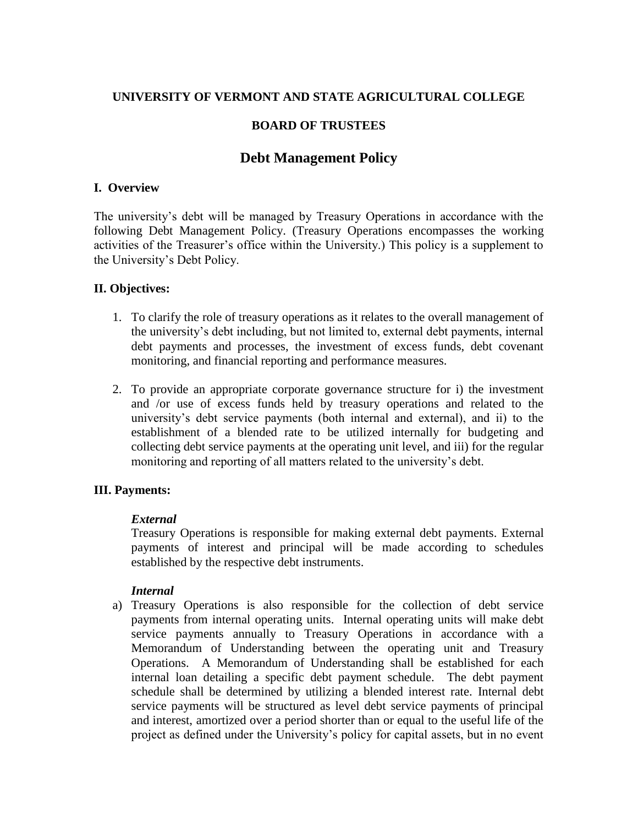# **UNIVERSITY OF VERMONT AND STATE AGRICULTURAL COLLEGE**

## **BOARD OF TRUSTEES**

# **Debt Management Policy**

#### **I. Overview**

The university's debt will be managed by Treasury Operations in accordance with the following Debt Management Policy. (Treasury Operations encompasses the working activities of the Treasurer's office within the University.) This policy is a supplement to the University's Debt Policy.

### **II. Objectives:**

- 1. To clarify the role of treasury operations as it relates to the overall management of the university's debt including, but not limited to, external debt payments, internal debt payments and processes, the investment of excess funds, debt covenant monitoring, and financial reporting and performance measures.
- 2. To provide an appropriate corporate governance structure for i) the investment and /or use of excess funds held by treasury operations and related to the university's debt service payments (both internal and external), and ii) to the establishment of a blended rate to be utilized internally for budgeting and collecting debt service payments at the operating unit level, and iii) for the regular monitoring and reporting of all matters related to the university's debt.

#### **III. Payments:**

#### *External*

Treasury Operations is responsible for making external debt payments. External payments of interest and principal will be made according to schedules established by the respective debt instruments.

#### *Internal*

a) Treasury Operations is also responsible for the collection of debt service payments from internal operating units. Internal operating units will make debt service payments annually to Treasury Operations in accordance with a Memorandum of Understanding between the operating unit and Treasury Operations. A Memorandum of Understanding shall be established for each internal loan detailing a specific debt payment schedule. The debt payment schedule shall be determined by utilizing a blended interest rate. Internal debt service payments will be structured as level debt service payments of principal and interest, amortized over a period shorter than or equal to the useful life of the project as defined under the University's policy for capital assets, but in no event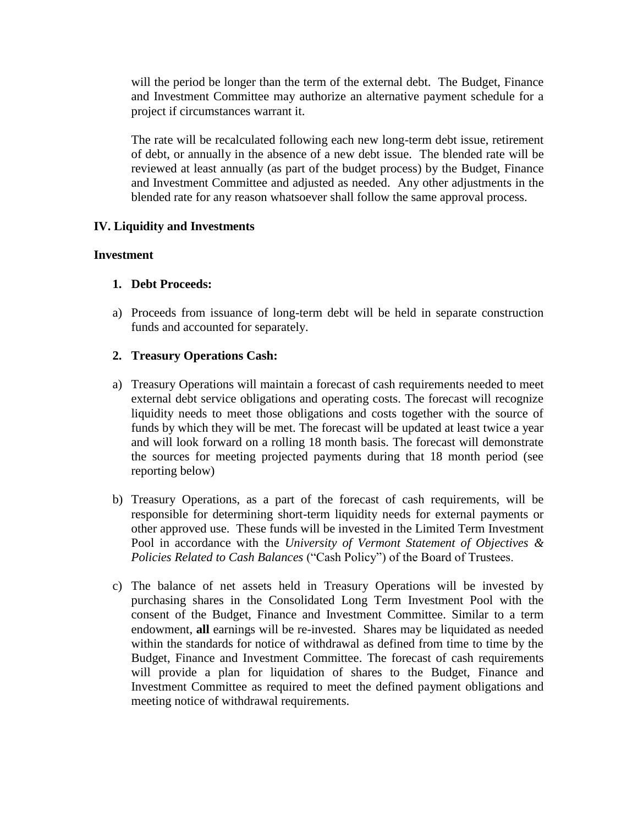will the period be longer than the term of the external debt. The Budget, Finance and Investment Committee may authorize an alternative payment schedule for a project if circumstances warrant it.

The rate will be recalculated following each new long-term debt issue, retirement of debt, or annually in the absence of a new debt issue. The blended rate will be reviewed at least annually (as part of the budget process) by the Budget, Finance and Investment Committee and adjusted as needed. Any other adjustments in the blended rate for any reason whatsoever shall follow the same approval process.

# **IV. Liquidity and Investments**

### **Investment**

# **1. Debt Proceeds:**

a) Proceeds from issuance of long-term debt will be held in separate construction funds and accounted for separately.

# **2. Treasury Operations Cash:**

- a) Treasury Operations will maintain a forecast of cash requirements needed to meet external debt service obligations and operating costs. The forecast will recognize liquidity needs to meet those obligations and costs together with the source of funds by which they will be met. The forecast will be updated at least twice a year and will look forward on a rolling 18 month basis. The forecast will demonstrate the sources for meeting projected payments during that 18 month period (see reporting below)
- b) Treasury Operations, as a part of the forecast of cash requirements, will be responsible for determining short-term liquidity needs for external payments or other approved use. These funds will be invested in the Limited Term Investment Pool in accordance with the *University of Vermont Statement of Objectives & Policies Related to Cash Balances* ("Cash Policy") of the Board of Trustees.
- c) The balance of net assets held in Treasury Operations will be invested by purchasing shares in the Consolidated Long Term Investment Pool with the consent of the Budget, Finance and Investment Committee. Similar to a term endowment, **all** earnings will be re-invested. Shares may be liquidated as needed within the standards for notice of withdrawal as defined from time to time by the Budget, Finance and Investment Committee. The forecast of cash requirements will provide a plan for liquidation of shares to the Budget, Finance and Investment Committee as required to meet the defined payment obligations and meeting notice of withdrawal requirements.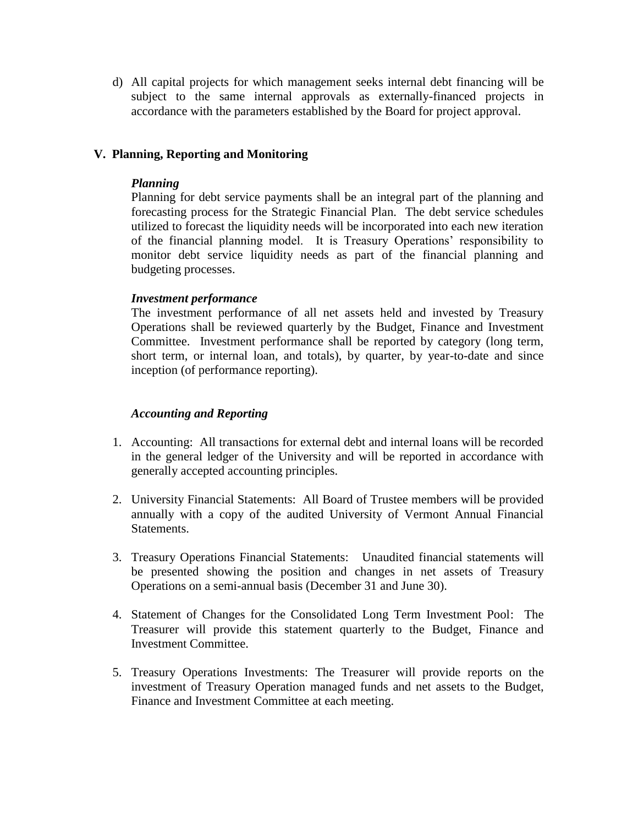d) All capital projects for which management seeks internal debt financing will be subject to the same internal approvals as externally-financed projects in accordance with the parameters established by the Board for project approval.

# **V. Planning, Reporting and Monitoring**

## *Planning*

Planning for debt service payments shall be an integral part of the planning and forecasting process for the Strategic Financial Plan. The debt service schedules utilized to forecast the liquidity needs will be incorporated into each new iteration of the financial planning model. It is Treasury Operations' responsibility to monitor debt service liquidity needs as part of the financial planning and budgeting processes.

### *Investment performance*

The investment performance of all net assets held and invested by Treasury Operations shall be reviewed quarterly by the Budget, Finance and Investment Committee. Investment performance shall be reported by category (long term, short term, or internal loan, and totals), by quarter, by year-to-date and since inception (of performance reporting).

## *Accounting and Reporting*

- 1. Accounting: All transactions for external debt and internal loans will be recorded in the general ledger of the University and will be reported in accordance with generally accepted accounting principles.
- 2. University Financial Statements: All Board of Trustee members will be provided annually with a copy of the audited University of Vermont Annual Financial Statements.
- 3. Treasury Operations Financial Statements: Unaudited financial statements will be presented showing the position and changes in net assets of Treasury Operations on a semi-annual basis (December 31 and June 30).
- 4. Statement of Changes for the Consolidated Long Term Investment Pool: The Treasurer will provide this statement quarterly to the Budget, Finance and Investment Committee.
- 5. Treasury Operations Investments: The Treasurer will provide reports on the investment of Treasury Operation managed funds and net assets to the Budget, Finance and Investment Committee at each meeting.